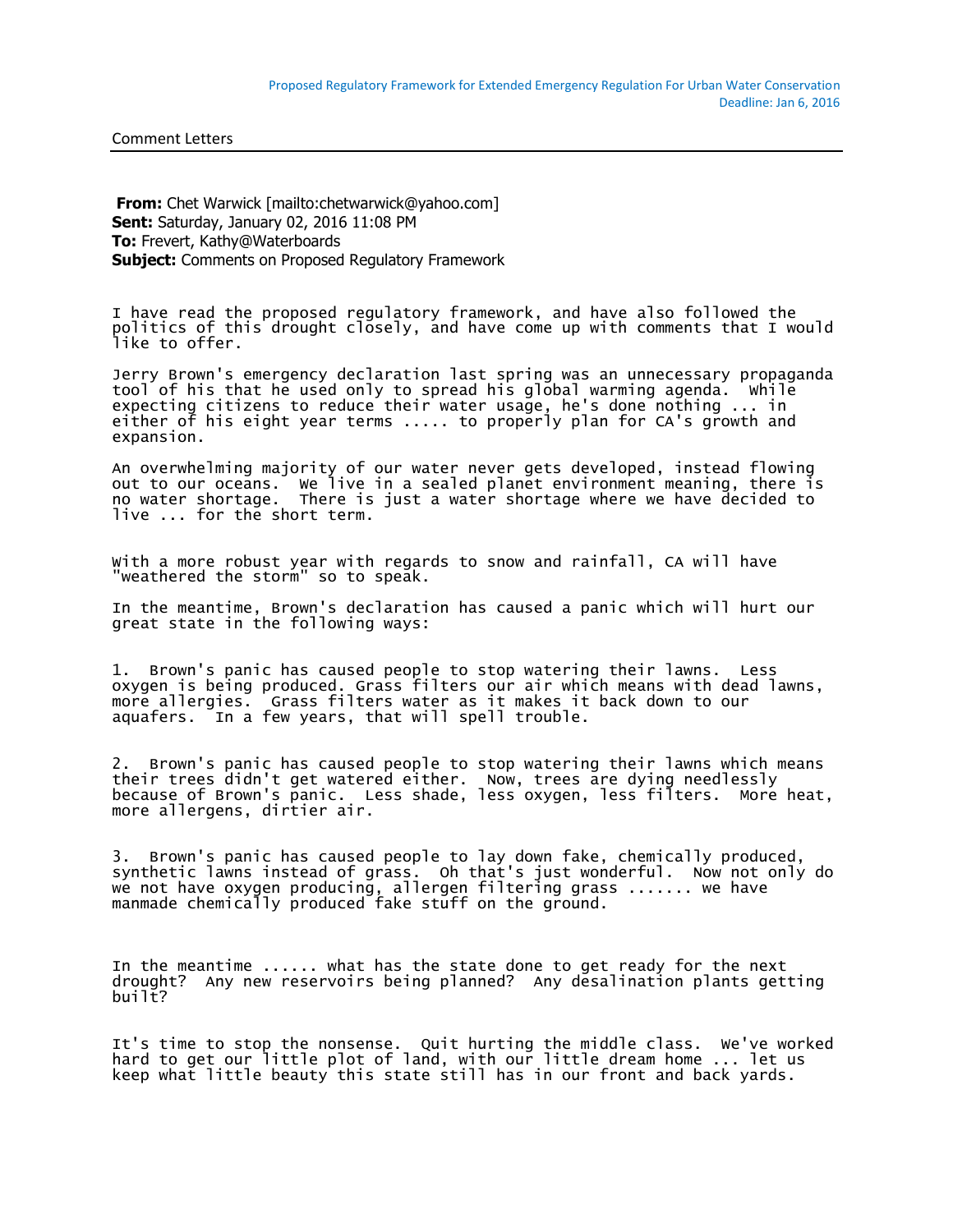Comment Letters

**From:** Chet Warwick [mailto:chetwarwick@yahoo.com] **Sent:** Saturday, January 02, 2016 11:08 PM **To:** Frevert, Kathy@Waterboards **Subject:** Comments on Proposed Regulatory Framework

I have read the proposed regulatory framework, and have also followed the politics of this drought closely, and have come up with comments that I would like to offer.

Jerry Brown's emergency declaration last spring was an unnecessary propaganda tool of his that he used only to spread his global warming agenda. While expecting citizens to reduce their water usage, he's done nothing ... in either of his eight year terms ..... to properly plan for CA's growth and expansion.

An overwhelming majority of our water never gets developed, instead flowing out to our oceans. We live in a sealed planet environment meaning, there is no water shortage. There is just a water shortage where we have decided to live ... for the short term.

With a more robust year with regards to snow and rainfall, CA will have "weathered the storm" so to speak.

In the meantime, Brown's declaration has caused a panic which will hurt our great state in the following ways:

1. Brown's panic has caused people to stop watering their lawns. Less oxygen is being produced. Grass filters our air which means with dead lawns, more allergies. Grass filters water as it makes it back down to our aquafers. In a few years, that will spell trouble.

2. Brown's panic has caused people to stop watering their lawns which means their trees didn't get watered either. Now, trees are dying needlessly because of Brown's panic. Less shade, less oxygen, less filters. More heat, more allergens, dirtier air.

3. Brown's panic has caused people to lay down fake, chemically produced, synthetic lawns instead of grass. Oh that's just wonderful. Now not only do we not have oxygen producing, allergen filtering grass ....... we have manmade chemically produced fake stuff on the ground.

In the meantime ...... what has the state done to get ready for the next drought? Any new reservoirs being planned? Any desalination plants getting built?

It's time to stop the nonsense. Quit hurting the middle class. We've worked hard to get our little plot of land, with our little dream home ... let us keep what little beauty this state still has in our front and back yards.